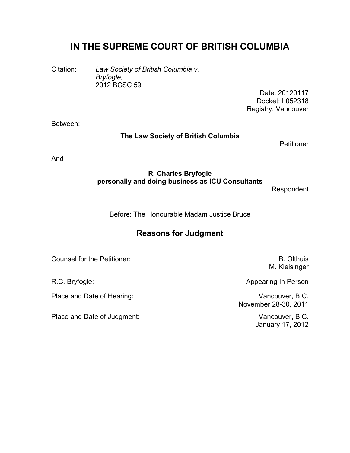# **IN THE SUPREME COURT OF BRITISH COLUMBIA**

Citation: *Law Society of British Columbia v. Bryfogle,* 2012 BCSC 59

Date: 20120117 Docket: L052318 Registry: Vancouver

Between:

#### **The Law Society of British Columbia**

**Petitioner** 

And

## **R. Charles Bryfogle personally and doing business as ICU Consultants**

Respondent

Before: The Honourable Madam Justice Bruce

## **Reasons for Judgment**

Counsel for the Petitioner: General Accounts of the Petitioner: B. Olthuis

Place and Date of Hearing: Vancouver, B.C.

Place and Date of Judgment: Vancouver, B.C.

M. Kleisinger

R.C. Bryfogle: **Appearing In Person** 

November 28-30, 2011

January 17, 2012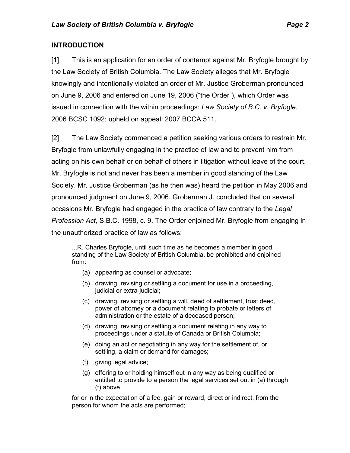## **INTRODUCTION**

[1] This is an application for an order of contempt against Mr. Bryfogle brought by the Law Society of British Columbia. The Law Society alleges that Mr. Bryfogle knowingly and intentionally violated an order of Mr. Justice Groberman pronounced on June 9, 2006 and entered on June 19, 2006 ("the Order"), which Order was issued in connection with the within proceedings: *Law Society of B.C. v. Bryfogle*, 2006 BCSC 1092; upheld on appeal: 2007 BCCA 511.

[2] The Law Society commenced a petition seeking various orders to restrain Mr. Bryfogle from unlawfully engaging in the practice of law and to prevent him from acting on his own behalf or on behalf of others in litigation without leave of the court. Mr. Bryfogle is not and never has been a member in good standing of the Law Society. Mr. Justice Groberman (as he then was) heard the petition in May 2006 and pronounced judgment on June 9, 2006. Groberman J. concluded that on several occasions Mr. Bryfogle had engaged in the practice of law contrary to the *Legal Profession Act,* S.B.C. 1998, c. 9. The Order enjoined Mr. Bryfogle from engaging in the unauthorized practice of law as follows:

...R. Charles Bryfogle, until such time as he becomes a member in good standing of the Law Society of British Columbia, be prohibited and enjoined from:

- (a) appearing as counsel or advocate;
- (b) drawing, revising or settling a document for use in a proceeding, judicial or extra-judicial;
- (c) drawing, revising or settling a will, deed of settlement, trust deed, power of attorney or a document relating to probate or letters of administration or the estate of a deceased person;
- (d) drawing, revising or settling a document relating in any way to proceedings under a statute of Canada or British Columbia;
- (e) doing an act or negotiating in any way for the settlement of, or settling, a claim or demand for damages;
- (f) giving legal advice;
- (g) offering to or holding himself out in any way as being qualified or entitled to provide to a person the legal services set out in (a) through (f) above,

for or in the expectation of a fee, gain or reward, direct or indirect, from the person for whom the acts are performed;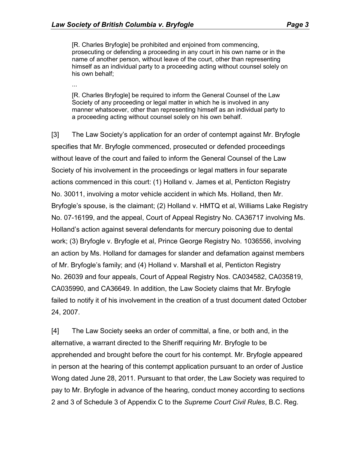...

[R. Charles Bryfogle] be prohibited and enjoined from commencing, prosecuting or defending a proceeding in any court in his own name or in the name of another person, without leave of the court, other than representing himself as an individual party to a proceeding acting without counsel solely on his own behalf;

[R. Charles Bryfogle] be required to inform the General Counsel of the Law Society of any proceeding or legal matter in which he is involved in any manner whatsoever, other than representing himself as an individual party to a proceeding acting without counsel solely on his own behalf.

[3] The Law Society's application for an order of contempt against Mr. Bryfogle specifies that Mr. Bryfogle commenced, prosecuted or defended proceedings without leave of the court and failed to inform the General Counsel of the Law Society of his involvement in the proceedings or legal matters in four separate actions commenced in this court: (1) Holland v. James et al, Penticton Registry No. 30011, involving a motor vehicle accident in which Ms. Holland, then Mr. Bryfogle's spouse, is the claimant; (2) Holland v. HMTQ et al, Williams Lake Registry No. 07-16199, and the appeal, Court of Appeal Registry No. CA36717 involving Ms. Holland's action against several defendants for mercury poisoning due to dental work; (3) Bryfogle v. Bryfogle et al, Prince George Registry No. 1036556, involving an action by Ms. Holland for damages for slander and defamation against members of Mr. Bryfogle's family; and (4) Holland v. Marshall et al, Penticton Registry No. 26039 and four appeals, Court of Appeal Registry Nos. CA034582, CA035819, CA035990, and CA36649. In addition, the Law Society claims that Mr. Bryfogle failed to notify it of his involvement in the creation of a trust document dated October 24, 2007.

[4] The Law Society seeks an order of committal, a fine, or both and, in the alternative, a warrant directed to the Sheriff requiring Mr. Bryfogle to be apprehended and brought before the court for his contempt. Mr. Bryfogle appeared in person at the hearing of this contempt application pursuant to an order of Justice Wong dated June 28, 2011. Pursuant to that order, the Law Society was required to pay to Mr. Bryfogle in advance of the hearing, conduct money according to sections 2 and 3 of Schedule 3 of Appendix C to the *Supreme Court Civil Rules*, B.C. Reg.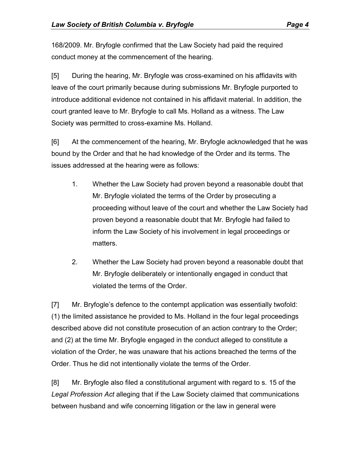168/2009. Mr. Bryfogle confirmed that the Law Society had paid the required conduct money at the commencement of the hearing.

[5] During the hearing, Mr. Bryfogle was cross-examined on his affidavits with leave of the court primarily because during submissions Mr. Bryfogle purported to introduce additional evidence not contained in his affidavit material. In addition, the court granted leave to Mr. Bryfogle to call Ms. Holland as a witness. The Law Society was permitted to cross-examine Ms. Holland.

[6] At the commencement of the hearing, Mr. Bryfogle acknowledged that he was bound by the Order and that he had knowledge of the Order and its terms. The issues addressed at the hearing were as follows:

- 1. Whether the Law Society had proven beyond a reasonable doubt that Mr. Bryfogle violated the terms of the Order by prosecuting a proceeding without leave of the court and whether the Law Society had proven beyond a reasonable doubt that Mr. Bryfogle had failed to inform the Law Society of his involvement in legal proceedings or matters.
- 2. Whether the Law Society had proven beyond a reasonable doubt that Mr. Bryfogle deliberately or intentionally engaged in conduct that violated the terms of the Order.

[7] Mr. Bryfogle's defence to the contempt application was essentially twofold: (1) the limited assistance he provided to Ms. Holland in the four legal proceedings described above did not constitute prosecution of an action contrary to the Order; and (2) at the time Mr. Bryfogle engaged in the conduct alleged to constitute a violation of the Order, he was unaware that his actions breached the terms of the Order. Thus he did not intentionally violate the terms of the Order.

[8] Mr. Bryfogle also filed a constitutional argument with regard to s. 15 of the *Legal Profession Act* alleging that if the Law Society claimed that communications between husband and wife concerning litigation or the law in general were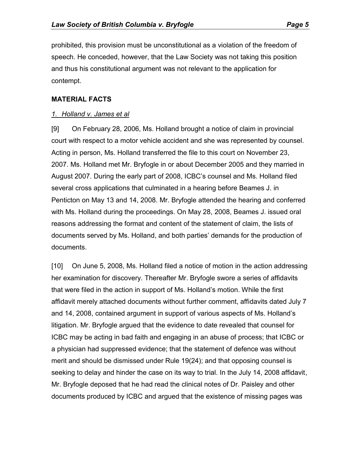prohibited, this provision must be unconstitutional as a violation of the freedom of speech. He conceded, however, that the Law Society was not taking this position and thus his constitutional argument was not relevant to the application for contempt.

### **MATERIAL FACTS**

### *1. Holland v. James et al*

[9] On February 28, 2006, Ms. Holland brought a notice of claim in provincial court with respect to a motor vehicle accident and she was represented by counsel. Acting in person, Ms. Holland transferred the file to this court on November 23, 2007. Ms. Holland met Mr. Bryfogle in or about December 2005 and they married in August 2007. During the early part of 2008, ICBC's counsel and Ms. Holland filed several cross applications that culminated in a hearing before Beames J. in Penticton on May 13 and 14, 2008. Mr. Bryfogle attended the hearing and conferred with Ms. Holland during the proceedings. On May 28, 2008, Beames J. issued oral reasons addressing the format and content of the statement of claim, the lists of documents served by Ms. Holland, and both parties' demands for the production of documents.

[10] On June 5, 2008, Ms. Holland filed a notice of motion in the action addressing her examination for discovery. Thereafter Mr. Bryfogle swore a series of affidavits that were filed in the action in support of Ms. Holland's motion. While the first affidavit merely attached documents without further comment, affidavits dated July 7 and 14, 2008, contained argument in support of various aspects of Ms. Holland's litigation. Mr. Bryfogle argued that the evidence to date revealed that counsel for ICBC may be acting in bad faith and engaging in an abuse of process; that ICBC or a physician had suppressed evidence; that the statement of defence was without merit and should be dismissed under Rule 19(24); and that opposing counsel is seeking to delay and hinder the case on its way to trial. In the July 14, 2008 affidavit, Mr. Bryfogle deposed that he had read the clinical notes of Dr. Paisley and other documents produced by ICBC and argued that the existence of missing pages was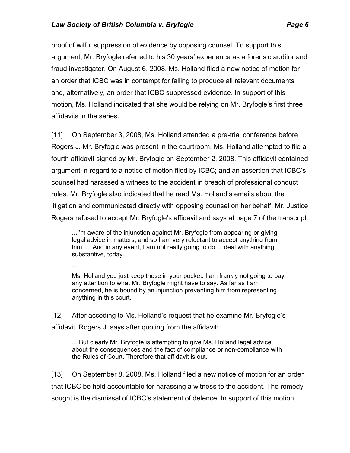proof of wilful suppression of evidence by opposing counsel. To support this argument, Mr. Bryfogle referred to his 30 years' experience as a forensic auditor and fraud investigator. On August 6, 2008, Ms. Holland filed a new notice of motion for an order that ICBC was in contempt for failing to produce all relevant documents and, alternatively, an order that ICBC suppressed evidence. In support of this motion, Ms. Holland indicated that she would be relying on Mr. Bryfogle's first three affidavits in the series.

[11] On September 3, 2008, Ms. Holland attended a pre-trial conference before Rogers J. Mr. Bryfogle was present in the courtroom. Ms. Holland attempted to file a fourth affidavit signed by Mr. Bryfogle on September 2, 2008. This affidavit contained argument in regard to a notice of motion filed by ICBC; and an assertion that ICBC's counsel had harassed a witness to the accident in breach of professional conduct rules. Mr. Bryfogle also indicated that he read Ms. Holland's emails about the litigation and communicated directly with opposing counsel on her behalf. Mr. Justice Rogers refused to accept Mr. Bryfogle's affidavit and says at page 7 of the transcript:

...I'm aware of the injunction against Mr. Bryfogle from appearing or giving legal advice in matters, and so I am very reluctant to accept anything from him, ... And in any event, I am not really going to do ... deal with anything substantive, today.

...

Ms. Holland you just keep those in your pocket. I am frankly not going to pay any attention to what Mr. Bryfogle might have to say. As far as I am concerned, he is bound by an injunction preventing him from representing anything in this court.

[12] After acceding to Ms. Holland's request that he examine Mr. Bryfogle's affidavit, Rogers J. says after quoting from the affidavit:

... But clearly Mr. Bryfogle is attempting to give Ms. Holland legal advice about the consequences and the fact of compliance or non-compliance with the Rules of Court. Therefore that affidavit is out.

[13] On September 8, 2008, Ms. Holland filed a new notice of motion for an order that ICBC be held accountable for harassing a witness to the accident. The remedy sought is the dismissal of ICBC's statement of defence. In support of this motion,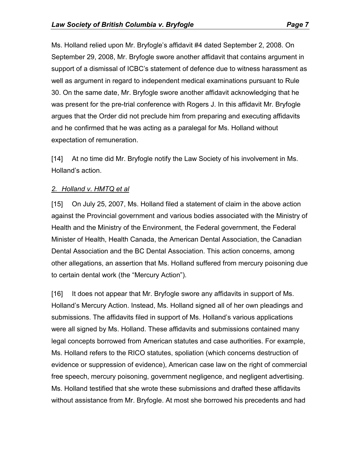Ms. Holland relied upon Mr. Bryfogle's affidavit #4 dated September 2, 2008. On September 29, 2008, Mr. Bryfogle swore another affidavit that contains argument in support of a dismissal of ICBC's statement of defence due to witness harassment as well as argument in regard to independent medical examinations pursuant to Rule 30. On the same date, Mr. Bryfogle swore another affidavit acknowledging that he was present for the pre-trial conference with Rogers J. In this affidavit Mr. Bryfogle argues that the Order did not preclude him from preparing and executing affidavits and he confirmed that he was acting as a paralegal for Ms. Holland without expectation of remuneration.

[14] At no time did Mr. Bryfogle notify the Law Society of his involvement in Ms. Holland's action.

#### *2. Holland v. HMTQ et al*

[15] On July 25, 2007, Ms. Holland filed a statement of claim in the above action against the Provincial government and various bodies associated with the Ministry of Health and the Ministry of the Environment, the Federal government, the Federal Minister of Health, Health Canada, the American Dental Association, the Canadian Dental Association and the BC Dental Association. This action concerns, among other allegations, an assertion that Ms. Holland suffered from mercury poisoning due to certain dental work (the "Mercury Action").

[16] It does not appear that Mr. Bryfogle swore any affidavits in support of Ms. Holland's Mercury Action. Instead, Ms. Holland signed all of her own pleadings and submissions. The affidavits filed in support of Ms. Holland's various applications were all signed by Ms. Holland. These affidavits and submissions contained many legal concepts borrowed from American statutes and case authorities. For example, Ms. Holland refers to the RICO statutes, spoliation (which concerns destruction of evidence or suppression of evidence), American case law on the right of commercial free speech, mercury poisoning, government negligence, and negligent advertising. Ms. Holland testified that she wrote these submissions and drafted these affidavits without assistance from Mr. Bryfogle. At most she borrowed his precedents and had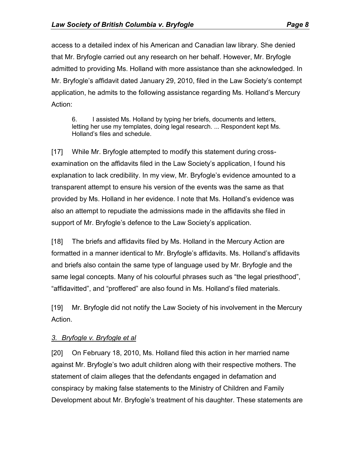access to a detailed index of his American and Canadian law library. She denied that Mr. Bryfogle carried out any research on her behalf. However, Mr. Bryfogle admitted to providing Ms. Holland with more assistance than she acknowledged. In Mr. Bryfogle's affidavit dated January 29, 2010, filed in the Law Society's contempt application, he admits to the following assistance regarding Ms. Holland's Mercury

Action:

6. I assisted Ms. Holland by typing her briefs, documents and letters, letting her use my templates, doing legal research. ... Respondent kept Ms. Holland's files and schedule.

[17] While Mr. Bryfogle attempted to modify this statement during crossexamination on the affidavits filed in the Law Society's application, I found his explanation to lack credibility. In my view, Mr. Bryfogle's evidence amounted to a transparent attempt to ensure his version of the events was the same as that provided by Ms. Holland in her evidence. I note that Ms. Holland's evidence was also an attempt to repudiate the admissions made in the affidavits she filed in support of Mr. Bryfogle's defence to the Law Society's application.

[18] The briefs and affidavits filed by Ms. Holland in the Mercury Action are formatted in a manner identical to Mr. Bryfogle's affidavits. Ms. Holland's affidavits and briefs also contain the same type of language used by Mr. Bryfogle and the same legal concepts. Many of his colourful phrases such as "the legal priesthood", "affidavitted", and "proffered" are also found in Ms. Holland's filed materials.

[19] Mr. Bryfogle did not notify the Law Society of his involvement in the Mercury Action.

## *3. Bryfogle v. Bryfogle et al*

[20] On February 18, 2010, Ms. Holland filed this action in her married name against Mr. Bryfogle's two adult children along with their respective mothers. The statement of claim alleges that the defendants engaged in defamation and conspiracy by making false statements to the Ministry of Children and Family Development about Mr. Bryfogle's treatment of his daughter. These statements are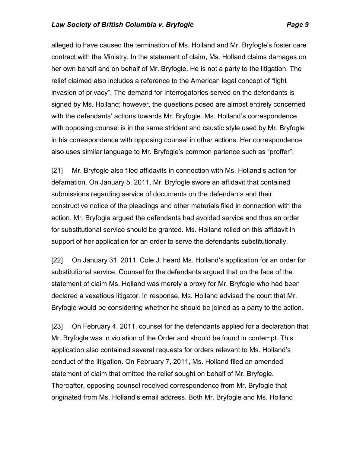alleged to have caused the termination of Ms. Holland and Mr. Bryfogle's foster care contract with the Ministry. In the statement of claim, Ms. Holland claims damages on her own behalf and on behalf of Mr. Bryfogle. He is not a party to the litigation. The relief claimed also includes a reference to the American legal concept of "light invasion of privacy". The demand for Interrogatories served on the defendants is signed by Ms. Holland; however, the questions posed are almost entirely concerned with the defendants' actions towards Mr. Bryfogle. Ms. Holland's correspondence with opposing counsel is in the same strident and caustic style used by Mr. Bryfogle in his correspondence with opposing counsel in other actions. Her correspondence also uses similar language to Mr. Bryfogle's common parlance such as "proffer".

[21] Mr. Bryfogle also filed affidavits in connection with Ms. Holland's action for defamation. On January 5, 2011, Mr. Bryfogle swore an affidavit that contained submissions regarding service of documents on the defendants and their constructive notice of the pleadings and other materials filed in connection with the action. Mr. Bryfogle argued the defendants had avoided service and thus an order for substitutional service should be granted. Ms. Holland relied on this affidavit in support of her application for an order to serve the defendants substitutionally.

[22] On January 31, 2011, Cole J. heard Ms. Holland's application for an order for substitutional service. Counsel for the defendants argued that on the face of the statement of claim Ms. Holland was merely a proxy for Mr. Bryfogle who had been declared a vexatious litigator. In response, Ms. Holland advised the court that Mr. Bryfogle would be considering whether he should be joined as a party to the action.

[23] On February 4, 2011, counsel for the defendants applied for a declaration that Mr. Bryfogle was in violation of the Order and should be found in contempt. This application also contained several requests for orders relevant to Ms. Holland's conduct of the litigation. On February 7, 2011, Ms. Holland filed an amended statement of claim that omitted the relief sought on behalf of Mr. Bryfogle. Thereafter, opposing counsel received correspondence from Mr. Bryfogle that originated from Ms. Holland's email address. Both Mr. Bryfogle and Ms. Holland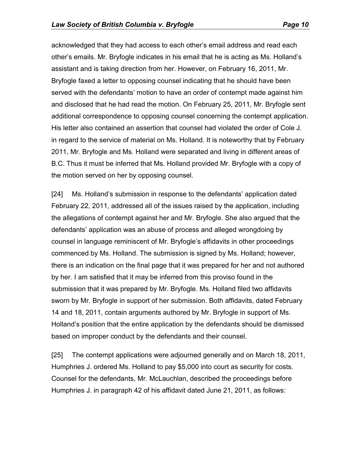acknowledged that they had access to each other's email address and read each other's emails. Mr. Bryfogle indicates in his email that he is acting as Ms. Holland's assistant and is taking direction from her. However, on February 16, 2011, Mr. Bryfogle faxed a letter to opposing counsel indicating that he should have been served with the defendants' motion to have an order of contempt made against him and disclosed that he had read the motion. On February 25, 2011, Mr. Bryfogle sent additional correspondence to opposing counsel concerning the contempt application. His letter also contained an assertion that counsel had violated the order of Cole J. in regard to the service of material on Ms. Holland. It is noteworthy that by February 2011, Mr. Bryfogle and Ms. Holland were separated and living in different areas of B.C. Thus it must be inferred that Ms. Holland provided Mr. Bryfogle with a copy of the motion served on her by opposing counsel.

[24] Ms. Holland's submission in response to the defendants' application dated February 22, 2011, addressed all of the issues raised by the application, including the allegations of contempt against her and Mr. Bryfogle. She also argued that the defendants' application was an abuse of process and alleged wrongdoing by counsel in language reminiscent of Mr. Bryfogle's affidavits in other proceedings commenced by Ms. Holland. The submission is signed by Ms. Holland; however, there is an indication on the final page that it was prepared for her and not authored by her. I am satisfied that it may be inferred from this proviso found in the submission that it was prepared by Mr. Bryfogle. Ms. Holland filed two affidavits sworn by Mr. Bryfogle in support of her submission. Both affidavits, dated February 14 and 18, 2011, contain arguments authored by Mr. Bryfogle in support of Ms. Holland's position that the entire application by the defendants should be dismissed based on improper conduct by the defendants and their counsel.

[25] The contempt applications were adjourned generally and on March 18, 2011, Humphries J. ordered Ms. Holland to pay \$5,000 into court as security for costs. Counsel for the defendants, Mr. McLauchlan, described the proceedings before Humphries J. in paragraph 42 of his affidavit dated June 21, 2011, as follows: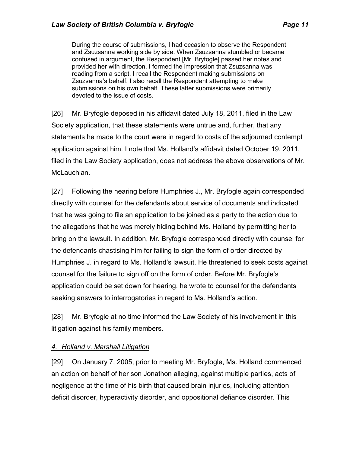During the course of submissions, I had occasion to observe the Respondent and Zsuzsanna working side by side. When Zsuzsanna stumbled or became confused in argument, the Respondent [Mr. Bryfogle] passed her notes and provided her with direction. I formed the impression that Zsuzsanna was reading from a script. I recall the Respondent making submissions on Zsuzsanna's behalf. I also recall the Respondent attempting to make submissions on his own behalf. These latter submissions were primarily devoted to the issue of costs.

[26] Mr. Bryfogle deposed in his affidavit dated July 18, 2011, filed in the Law Society application, that these statements were untrue and, further, that any statements he made to the court were in regard to costs of the adjourned contempt application against him. I note that Ms. Holland's affidavit dated October 19, 2011, filed in the Law Society application, does not address the above observations of Mr. McLauchlan.

[27] Following the hearing before Humphries J., Mr. Bryfogle again corresponded directly with counsel for the defendants about service of documents and indicated that he was going to file an application to be joined as a party to the action due to the allegations that he was merely hiding behind Ms. Holland by permitting her to bring on the lawsuit. In addition, Mr. Bryfogle corresponded directly with counsel for the defendants chastising him for failing to sign the form of order directed by Humphries J. in regard to Ms. Holland's lawsuit. He threatened to seek costs against counsel for the failure to sign off on the form of order. Before Mr. Bryfogle's application could be set down for hearing, he wrote to counsel for the defendants seeking answers to interrogatories in regard to Ms. Holland's action.

[28] Mr. Bryfogle at no time informed the Law Society of his involvement in this litigation against his family members.

## *4. Holland v. Marshall Litigation*

[29] On January 7, 2005, prior to meeting Mr. Bryfogle, Ms. Holland commenced an action on behalf of her son Jonathon alleging, against multiple parties, acts of negligence at the time of his birth that caused brain injuries, including attention deficit disorder, hyperactivity disorder, and oppositional defiance disorder. This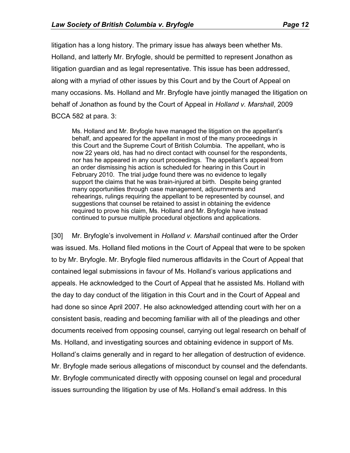litigation has a long history. The primary issue has always been whether Ms. Holland, and latterly Mr. Bryfogle, should be permitted to represent Jonathon as litigation guardian and as legal representative. This issue has been addressed, along with a myriad of other issues by this Court and by the Court of Appeal on many occasions. Ms. Holland and Mr. Bryfogle have jointly managed the litigation on behalf of Jonathon as found by the Court of Appeal in *Holland v. Marshall*, 2009 BCCA 582 at para. 3:

Ms. Holland and Mr. Bryfogle have managed the litigation on the appellant's behalf, and appeared for the appellant in most of the many proceedings in this Court and the Supreme Court of British Columbia. The appellant, who is now 22 years old, has had no direct contact with counsel for the respondents, nor has he appeared in any court proceedings. The appellant's appeal from an order dismissing his action is scheduled for hearing in this Court in February 2010. The trial judge found there was no evidence to legally support the claims that he was brain-injured at birth. Despite being granted many opportunities through case management, adjournments and rehearings, rulings requiring the appellant to be represented by counsel, and suggestions that counsel be retained to assist in obtaining the evidence required to prove his claim, Ms. Holland and Mr. Bryfogle have instead continued to pursue multiple procedural objections and applications.

[30] Mr. Bryfogle's involvement in *Holland v. Marshall* continued after the Order was issued. Ms. Holland filed motions in the Court of Appeal that were to be spoken to by Mr. Bryfogle. Mr. Bryfogle filed numerous affidavits in the Court of Appeal that contained legal submissions in favour of Ms. Holland's various applications and appeals. He acknowledged to the Court of Appeal that he assisted Ms. Holland with the day to day conduct of the litigation in this Court and in the Court of Appeal and had done so since April 2007. He also acknowledged attending court with her on a consistent basis, reading and becoming familiar with all of the pleadings and other documents received from opposing counsel, carrying out legal research on behalf of Ms. Holland, and investigating sources and obtaining evidence in support of Ms. Holland's claims generally and in regard to her allegation of destruction of evidence. Mr. Bryfogle made serious allegations of misconduct by counsel and the defendants. Mr. Bryfogle communicated directly with opposing counsel on legal and procedural issues surrounding the litigation by use of Ms. Holland's email address. In this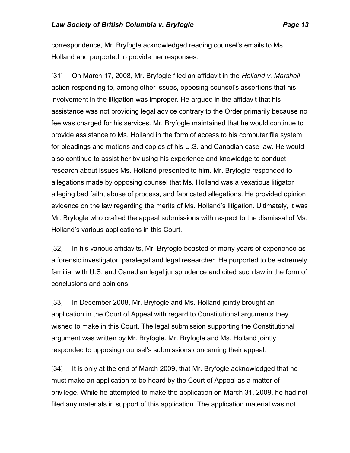correspondence, Mr. Bryfogle acknowledged reading counsel's emails to Ms. Holland and purported to provide her responses.

[31] On March 17, 2008, Mr. Bryfogle filed an affidavit in the *Holland v. Marshall* action responding to, among other issues, opposing counsel's assertions that his involvement in the litigation was improper. He argued in the affidavit that his assistance was not providing legal advice contrary to the Order primarily because no fee was charged for his services. Mr. Bryfogle maintained that he would continue to provide assistance to Ms. Holland in the form of access to his computer file system for pleadings and motions and copies of his U.S. and Canadian case law. He would also continue to assist her by using his experience and knowledge to conduct research about issues Ms. Holland presented to him. Mr. Bryfogle responded to allegations made by opposing counsel that Ms. Holland was a vexatious litigator alleging bad faith, abuse of process, and fabricated allegations. He provided opinion evidence on the law regarding the merits of Ms. Holland's litigation. Ultimately, it was Mr. Bryfogle who crafted the appeal submissions with respect to the dismissal of Ms. Holland's various applications in this Court.

[32] In his various affidavits, Mr. Bryfogle boasted of many years of experience as a forensic investigator, paralegal and legal researcher. He purported to be extremely familiar with U.S. and Canadian legal jurisprudence and cited such law in the form of conclusions and opinions.

[33] In December 2008, Mr. Bryfogle and Ms. Holland jointly brought an application in the Court of Appeal with regard to Constitutional arguments they wished to make in this Court. The legal submission supporting the Constitutional argument was written by Mr. Bryfogle. Mr. Bryfogle and Ms. Holland jointly responded to opposing counsel's submissions concerning their appeal.

[34] It is only at the end of March 2009, that Mr. Bryfogle acknowledged that he must make an application to be heard by the Court of Appeal as a matter of privilege. While he attempted to make the application on March 31, 2009, he had not filed any materials in support of this application. The application material was not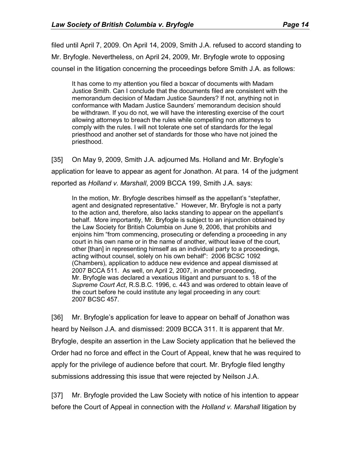filed until April 7, 2009. On April 14, 2009, Smith J.A. refused to accord standing to Mr. Bryfogle. Nevertheless, on April 24, 2009, Mr. Bryfogle wrote to opposing counsel in the litigation concerning the proceedings before Smith J.A. as follows:

It has come to my attention you filed a boxcar of documents with Madam Justice Smith. Can I conclude that the documents filed are consistent with the memorandum decision of Madam Justice Saunders? If not, anything not in conformance with Madam Justice Saunders' memorandum decision should be withdrawn. If you do not, we will have the interesting exercise of the court allowing attorneys to breach the rules while compelling non attorneys to comply with the rules. I will not tolerate one set of standards for the legal priesthood and another set of standards for those who have not joined the priesthood.

[35] On May 9, 2009, Smith J.A. adjourned Ms. Holland and Mr. Bryfogle's application for leave to appear as agent for Jonathon. At para. 14 of the judgment reported as *Holland v. Marshall*, 2009 BCCA 199, Smith J.A. says:

In the motion, Mr. Bryfogle describes himself as the appellant's "stepfather, agent and designated representative." However, Mr. Bryfogle is not a party to the action and, therefore, also lacks standing to appear on the appellant's behalf. More importantly, Mr. Bryfogle is subject to an injunction obtained by the Law Society for British Columbia on June 9, 2006, that prohibits and enjoins him "from commencing, prosecuting or defending a proceeding in any court in his own name or in the name of another, without leave of the court, other [than] in representing himself as an individual party to a proceedings, acting without counsel, solely on his own behalf": 2006 BCSC 1092 (Chambers), application to adduce new evidence and appeal dismissed at 2007 BCCA 511. As well, on April 2, 2007, in another proceeding, Mr. Bryfogle was declared a vexatious litigant and pursuant to s. 18 of the *Supreme Court Act*, R.S.B.C. 1996, c. 443 and was ordered to obtain leave of the court before he could institute any legal proceeding in any court: 2007 BCSC 457.

[36] Mr. Bryfogle's application for leave to appear on behalf of Jonathon was heard by Neilson J.A. and dismissed: 2009 BCCA 311. It is apparent that Mr. Bryfogle, despite an assertion in the Law Society application that he believed the Order had no force and effect in the Court of Appeal, knew that he was required to apply for the privilege of audience before that court. Mr. Bryfogle filed lengthy submissions addressing this issue that were rejected by Neilson J.A.

[37] Mr. Bryfogle provided the Law Society with notice of his intention to appear before the Court of Appeal in connection with the *Holland v. Marshall* litigation by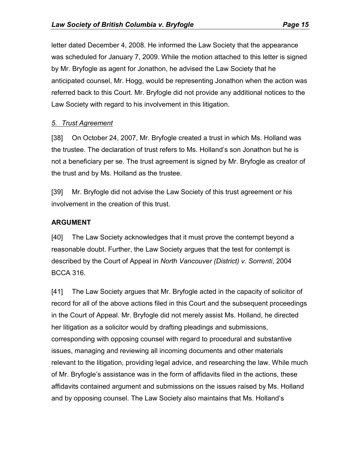letter dated December 4, 2008. He informed the Law Society that the appearance was scheduled for January 7, 2009. While the motion attached to this letter is signed by Mr. Bryfogle as agent for Jonathon, he advised the Law Society that he anticipated counsel, Mr. Hogg, would be representing Jonathon when the action was referred back to this Court. Mr. Bryfogle did not provide any additional notices to the Law Society with regard to his involvement in this litigation.

## *5. Trust Agreement*

[38] On October 24, 2007, Mr. Bryfogle created a trust in which Ms. Holland was the trustee. The declaration of trust refers to Ms. Holland's son Jonathon but he is not a beneficiary per se. The trust agreement is signed by Mr. Bryfogle as creator of the trust and by Ms. Holland as the trustee.

[39] Mr. Bryfogle did not advise the Law Society of this trust agreement or his involvement in the creation of this trust.

## **ARGUMENT**

[40] The Law Society acknowledges that it must prove the contempt beyond a reasonable doubt. Further, the Law Society argues that the test for contempt is described by the Court of Appeal in *North Vancouver (District) v. Sorrenti*, 2004 BCCA 316.

[41] The Law Society argues that Mr. Bryfogle acted in the capacity of solicitor of record for all of the above actions filed in this Court and the subsequent proceedings in the Court of Appeal. Mr. Bryfogle did not merely assist Ms. Holland, he directed her litigation as a solicitor would by drafting pleadings and submissions, corresponding with opposing counsel with regard to procedural and substantive issues, managing and reviewing all incoming documents and other materials relevant to the litigation, providing legal advice, and researching the law. While much of Mr. Bryfogle's assistance was in the form of affidavits filed in the actions, these affidavits contained argument and submissions on the issues raised by Ms. Holland and by opposing counsel. The Law Society also maintains that Ms. Holland's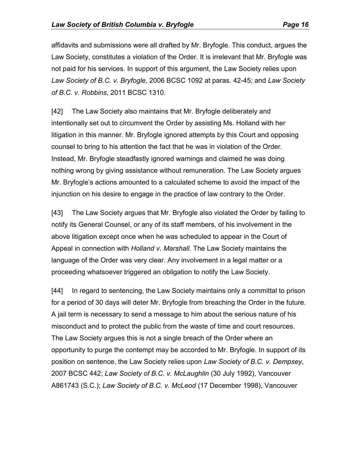affidavits and submissions were all drafted by Mr. Bryfogle. This conduct, argues the Law Society, constitutes a violation of the Order. It is irrelevant that Mr. Bryfogle was not paid for his services. In support of this argument, the Law Society relies upon *Law Society of B.C. v. Bryfogle*, 2006 BCSC 1092 at paras. 42-45; and *Law Society of B.C. v. Robbins*, 2011 BCSC 1310.

[42] The Law Society also maintains that Mr. Bryfogle deliberately and intentionally set out to circumvent the Order by assisting Ms. Holland with her litigation in this manner. Mr. Bryfogle ignored attempts by this Court and opposing counsel to bring to his attention the fact that he was in violation of the Order. Instead, Mr. Bryfogle steadfastly ignored warnings and claimed he was doing nothing wrong by giving assistance without remuneration. The Law Society argues Mr. Bryfogle's actions amounted to a calculated scheme to avoid the impact of the injunction on his desire to engage in the practice of law contrary to the Order.

[43] The Law Society argues that Mr. Bryfogle also violated the Order by failing to notify its General Counsel, or any of its staff members, of his involvement in the above litigation except once when he was scheduled to appear in the Court of Appeal in connection with *Holland v. Marshall.* The Law Society maintains the language of the Order was very clear. Any involvement in a legal matter or a proceeding whatsoever triggered an obligation to notify the Law Society.

[44] In regard to sentencing, the Law Society maintains only a committal to prison for a period of 30 days will deter Mr. Bryfogle from breaching the Order in the future. A jail term is necessary to send a message to him about the serious nature of his misconduct and to protect the public from the waste of time and court resources. The Law Society argues this is not a single breach of the Order where an opportunity to purge the contempt may be accorded to Mr. Bryfogle. In support of its position on sentence, the Law Society relies upon *Law Society of B.C. v. Dempsey*, 2007 BCSC 442; *Law Society of B.C. v. McLaughlin* (30 July 1992), Vancouver A861743 (S.C.); *Law Society of B.C. v. McLeod* (17 December 1998), Vancouver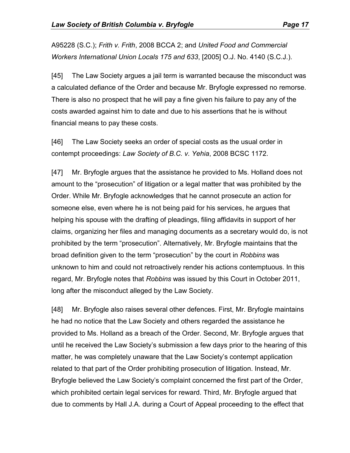A95228 (S.C.); *Frith v. Frith*, 2008 BCCA 2; and *United Food and Commercial Workers International Union Locals 175 and 633*, [2005] O.J. No. 4140 (S.C.J.).

[45] The Law Society argues a jail term is warranted because the misconduct was a calculated defiance of the Order and because Mr. Bryfogle expressed no remorse. There is also no prospect that he will pay a fine given his failure to pay any of the costs awarded against him to date and due to his assertions that he is without financial means to pay these costs.

[46] The Law Society seeks an order of special costs as the usual order in contempt proceedings: *Law Society of B.C. v. Yehia*, 2008 BCSC 1172.

[47] Mr. Bryfogle argues that the assistance he provided to Ms. Holland does not amount to the "prosecution" of litigation or a legal matter that was prohibited by the Order. While Mr. Bryfogle acknowledges that he cannot prosecute an action for someone else, even where he is not being paid for his services, he argues that helping his spouse with the drafting of pleadings, filing affidavits in support of her claims, organizing her files and managing documents as a secretary would do, is not prohibited by the term "prosecution". Alternatively, Mr. Bryfogle maintains that the broad definition given to the term "prosecution" by the court in *Robbins* was unknown to him and could not retroactively render his actions contemptuous. In this regard, Mr. Bryfogle notes that *Robbins* was issued by this Court in October 2011, long after the misconduct alleged by the Law Society.

[48] Mr. Bryfogle also raises several other defences. First, Mr. Bryfogle maintains he had no notice that the Law Society and others regarded the assistance he provided to Ms. Holland as a breach of the Order. Second, Mr. Bryfogle argues that until he received the Law Society's submission a few days prior to the hearing of this matter, he was completely unaware that the Law Society's contempt application related to that part of the Order prohibiting prosecution of litigation. Instead, Mr. Bryfogle believed the Law Society's complaint concerned the first part of the Order, which prohibited certain legal services for reward. Third, Mr. Bryfogle argued that due to comments by Hall J.A. during a Court of Appeal proceeding to the effect that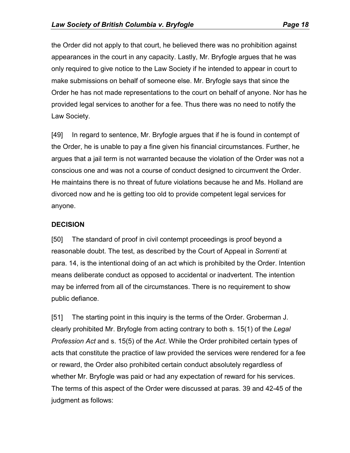the Order did not apply to that court, he believed there was no prohibition against appearances in the court in any capacity. Lastly, Mr. Bryfogle argues that he was only required to give notice to the Law Society if he intended to appear in court to make submissions on behalf of someone else. Mr. Bryfogle says that since the Order he has not made representations to the court on behalf of anyone. Nor has he provided legal services to another for a fee. Thus there was no need to notify the Law Society.

[49] In regard to sentence, Mr. Bryfogle argues that if he is found in contempt of the Order, he is unable to pay a fine given his financial circumstances. Further, he argues that a jail term is not warranted because the violation of the Order was not a conscious one and was not a course of conduct designed to circumvent the Order. He maintains there is no threat of future violations because he and Ms. Holland are divorced now and he is getting too old to provide competent legal services for anyone.

## **DECISION**

[50] The standard of proof in civil contempt proceedings is proof beyond a reasonable doubt. The test, as described by the Court of Appeal in *Sorrenti* at para. 14, is the intentional doing of an act which is prohibited by the Order. Intention means deliberate conduct as opposed to accidental or inadvertent. The intention may be inferred from all of the circumstances. There is no requirement to show public defiance.

[51] The starting point in this inquiry is the terms of the Order. Groberman J. clearly prohibited Mr. Bryfogle from acting contrary to both s. 15(1) of the *Legal Profession Act* and s. 15(5) of the *Act*. While the Order prohibited certain types of acts that constitute the practice of law provided the services were rendered for a fee or reward, the Order also prohibited certain conduct absolutely regardless of whether Mr. Bryfogle was paid or had any expectation of reward for his services. The terms of this aspect of the Order were discussed at paras. 39 and 42-45 of the judgment as follows: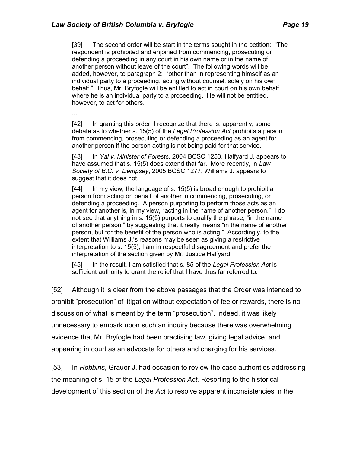[39] The second order will be start in the terms sought in the petition: "The respondent is prohibited and enjoined from commencing, prosecuting or defending a proceeding in any court in his own name or in the name of another person without leave of the court". The following words will be added, however, to paragraph 2: "other than in representing himself as an individual party to a proceeding, acting without counsel, solely on his own behalf." Thus, Mr. Bryfogle will be entitled to act in court on his own behalf where he is an individual party to a proceeding. He will not be entitled, however, to act for others.

...

[42] In granting this order, I recognize that there is, apparently, some debate as to whether s. 15(5) of the *Legal Profession Act* prohibits a person from commencing, prosecuting or defending a proceeding as an agent for another person if the person acting is not being paid for that service.

[43] In *Yal v. Minister of Forests*, 2004 BCSC 1253, Halfyard J. appears to have assumed that s. 15(5) does extend that far. More recently, in *Law Society of B.C. v. Dempsey*, 2005 BCSC 1277, Williams J. appears to suggest that it does not.

[44] In my view, the language of s. 15(5) is broad enough to prohibit a person from acting on behalf of another in commencing, prosecuting, or defending a proceeding. A person purporting to perform those acts as an agent for another is, in my view, "acting in the name of another person." I do not see that anything in s. 15(5) purports to qualify the phrase, "in the name of another person," by suggesting that it really means "in the name of another person, but for the benefit of the person who is acting." Accordingly, to the extent that Williams J.'s reasons may be seen as giving a restrictive interpretation to s. 15(5), I am in respectful disagreement and prefer the interpretation of the section given by Mr. Justice Halfyard.

[45] In the result, I am satisfied that s. 85 of the *Legal Profession Act* is sufficient authority to grant the relief that I have thus far referred to.

[52] Although it is clear from the above passages that the Order was intended to prohibit "prosecution" of litigation without expectation of fee or rewards, there is no discussion of what is meant by the term "prosecution". Indeed, it was likely unnecessary to embark upon such an inquiry because there was overwhelming evidence that Mr. Bryfogle had been practising law, giving legal advice, and appearing in court as an advocate for others and charging for his services.

[53] In *Robbins*, Grauer J. had occasion to review the case authorities addressing the meaning of s. 15 of the *Legal Profession Act.* Resorting to the historical development of this section of the *Act* to resolve apparent inconsistencies in the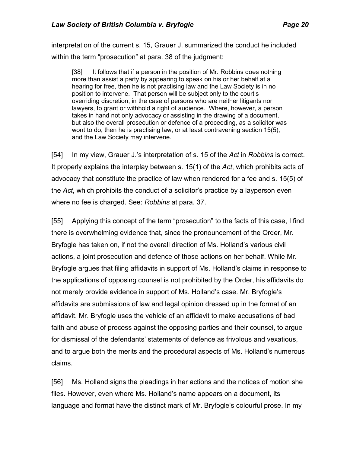interpretation of the current s. 15, Grauer J. summarized the conduct he included within the term "prosecution" at para. 38 of the judgment:

[38] It follows that if a person in the position of Mr. Robbins does nothing more than assist a party by appearing to speak on his or her behalf at a hearing for free, then he is not practising law and the Law Society is in no position to intervene. That person will be subject only to the court's overriding discretion, in the case of persons who are neither litigants nor lawyers, to grant or withhold a right of audience. Where, however, a person takes in hand not only advocacy or assisting in the drawing of a document, but also the overall prosecution or defence of a proceeding, as a solicitor was wont to do, then he is practising law, or at least contravening section 15(5), and the Law Society may intervene.

[54] In my view, Grauer J.'s interpretation of s. 15 of the *Act* in *Robbins* is correct. It properly explains the interplay between s. 15(1) of the *Act*, which prohibits acts of advocacy that constitute the practice of law when rendered for a fee and s. 15(5) of the *Act*, which prohibits the conduct of a solicitor's practice by a layperson even where no fee is charged. See: *Robbins* at para. 37.

[55] Applying this concept of the term "prosecution" to the facts of this case, I find there is overwhelming evidence that, since the pronouncement of the Order, Mr. Bryfogle has taken on, if not the overall direction of Ms. Holland's various civil actions, a joint prosecution and defence of those actions on her behalf. While Mr. Bryfogle argues that filing affidavits in support of Ms. Holland's claims in response to the applications of opposing counsel is not prohibited by the Order, his affidavits do not merely provide evidence in support of Ms. Holland's case. Mr. Bryfogle's affidavits are submissions of law and legal opinion dressed up in the format of an affidavit. Mr. Bryfogle uses the vehicle of an affidavit to make accusations of bad faith and abuse of process against the opposing parties and their counsel, to argue for dismissal of the defendants' statements of defence as frivolous and vexatious, and to argue both the merits and the procedural aspects of Ms. Holland's numerous claims.

[56] Ms. Holland signs the pleadings in her actions and the notices of motion she files. However, even where Ms. Holland's name appears on a document, its language and format have the distinct mark of Mr. Bryfogle's colourful prose. In my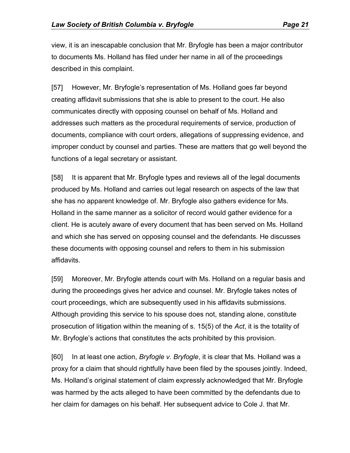view, it is an inescapable conclusion that Mr. Bryfogle has been a major contributor to documents Ms. Holland has filed under her name in all of the proceedings described in this complaint.

[57] However, Mr. Bryfogle's representation of Ms. Holland goes far beyond creating affidavit submissions that she is able to present to the court. He also communicates directly with opposing counsel on behalf of Ms. Holland and addresses such matters as the procedural requirements of service, production of documents, compliance with court orders, allegations of suppressing evidence, and improper conduct by counsel and parties. These are matters that go well beyond the functions of a legal secretary or assistant.

[58] It is apparent that Mr. Bryfogle types and reviews all of the legal documents produced by Ms. Holland and carries out legal research on aspects of the law that she has no apparent knowledge of. Mr. Bryfogle also gathers evidence for Ms. Holland in the same manner as a solicitor of record would gather evidence for a client. He is acutely aware of every document that has been served on Ms. Holland and which she has served on opposing counsel and the defendants. He discusses these documents with opposing counsel and refers to them in his submission affidavits.

[59] Moreover, Mr. Bryfogle attends court with Ms. Holland on a regular basis and during the proceedings gives her advice and counsel. Mr. Bryfogle takes notes of court proceedings, which are subsequently used in his affidavits submissions. Although providing this service to his spouse does not, standing alone, constitute prosecution of litigation within the meaning of s. 15(5) of the *Act*, it is the totality of Mr. Bryfogle's actions that constitutes the acts prohibited by this provision.

[60] In at least one action, *Bryfogle v. Bryfogle*, it is clear that Ms. Holland was a proxy for a claim that should rightfully have been filed by the spouses jointly. Indeed, Ms. Holland's original statement of claim expressly acknowledged that Mr. Bryfogle was harmed by the acts alleged to have been committed by the defendants due to her claim for damages on his behalf. Her subsequent advice to Cole J. that Mr.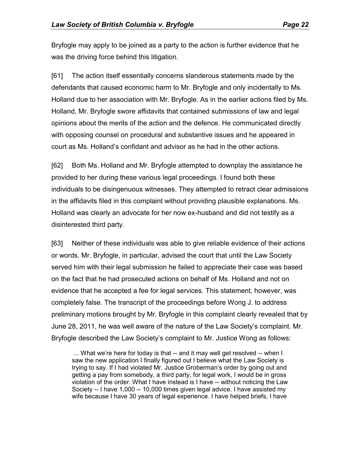Bryfogle may apply to be joined as a party to the action is further evidence that he was the driving force behind this litigation.

[61] The action itself essentially concerns slanderous statements made by the defendants that caused economic harm to Mr. Bryfogle and only incidentally to Ms. Holland due to her association with Mr. Bryfogle. As in the earlier actions filed by Ms. Holland, Mr. Bryfogle swore affidavits that contained submissions of law and legal opinions about the merits of the action and the defence. He communicated directly with opposing counsel on procedural and substantive issues and he appeared in court as Ms. Holland's confidant and advisor as he had in the other actions.

[62] Both Ms. Holland and Mr. Bryfogle attempted to downplay the assistance he provided to her during these various legal proceedings. I found both these individuals to be disingenuous witnesses. They attempted to retract clear admissions in the affidavits filed in this complaint without providing plausible explanations. Ms. Holland was clearly an advocate for her now ex-husband and did not testify as a disinterested third party.

[63] Neither of these individuals was able to give reliable evidence of their actions or words. Mr. Bryfogle, in particular, advised the court that until the Law Society served him with their legal submission he failed to appreciate their case was based on the fact that he had prosecuted actions on behalf of Ms. Holland and not on evidence that he accepted a fee for legal services. This statement, however, was completely false. The transcript of the proceedings before Wong J. to address preliminary motions brought by Mr. Bryfogle in this complaint clearly revealed that by June 28, 2011, he was well aware of the nature of the Law Society's complaint. Mr. Bryfogle described the Law Society's complaint to Mr. Justice Wong as follows:

... What we're here for today is that -- and it may well get resolved -- when I saw the new application I finally figured out I believe what the Law Society is trying to say. If I had violated Mr. Justice Groberman's order by going out and getting a pay from somebody, a third party, for legal work, I would be in gross violation of the order. What I have instead is I have -- without noticing the Law Society -- I have 1,000 -- 10,000 times given legal advice. I have assisted my wife because I have 30 years of legal experience. I have helped briefs, I have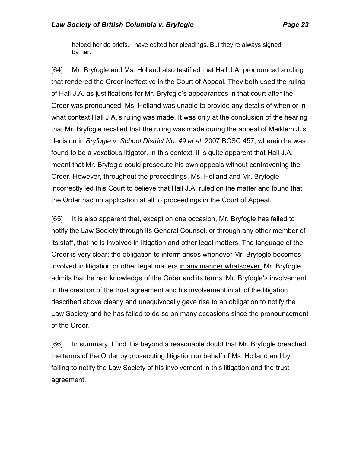helped her do briefs. I have edited her pleadings. But they're always signed by her.

[64] Mr. Bryfogle and Ms. Holland also testified that Hall J.A. pronounced a ruling that rendered the Order ineffective in the Court of Appeal. They both used the ruling of Hall J.A. as justifications for Mr. Bryfogle's appearances in that court after the Order was pronounced. Ms. Holland was unable to provide any details of when or in what context Hall J.A.'s ruling was made. It was only at the conclusion of the hearing that Mr. Bryfogle recalled that the ruling was made during the appeal of Meiklem J.'s decision in *Bryfogle v. School District No. 49 et al*, 2007 BCSC 457, wherein he was found to be a vexatious litigator. In this context, it is quite apparent that Hall J.A. meant that Mr. Bryfogle could prosecute his own appeals without contravening the Order. However, throughout the proceedings, Ms. Holland and Mr. Bryfogle incorrectly led this Court to believe that Hall J.A. ruled on the matter and found that the Order had no application at all to proceedings in the Court of Appeal.

[65] It is also apparent that, except on one occasion, Mr. Bryfogle has failed to notify the Law Society through its General Counsel, or through any other member of its staff, that he is involved in litigation and other legal matters. The language of the Order is very clear; the obligation to inform arises whenever Mr. Bryfogle becomes involved in litigation or other legal matters in any manner whatsoever. Mr. Bryfogle admits that he had knowledge of the Order and its terms. Mr. Bryfogle's involvement in the creation of the trust agreement and his involvement in all of the litigation described above clearly and unequivocally gave rise to an obligation to notify the Law Society and he has failed to do so on many occasions since the pronouncement of the Order.

[66] In summary, I find it is beyond a reasonable doubt that Mr. Bryfogle breached the terms of the Order by prosecuting litigation on behalf of Ms. Holland and by failing to notify the Law Society of his involvement in this litigation and the trust agreement.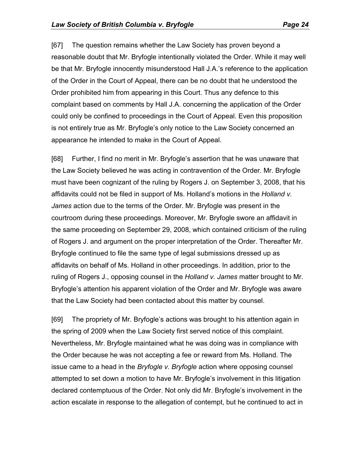[67] The question remains whether the Law Society has proven beyond a reasonable doubt that Mr. Bryfogle intentionally violated the Order. While it may well be that Mr. Bryfogle innocently misunderstood Hall J.A.'s reference to the application of the Order in the Court of Appeal, there can be no doubt that he understood the Order prohibited him from appearing in this Court. Thus any defence to this complaint based on comments by Hall J.A. concerning the application of the Order could only be confined to proceedings in the Court of Appeal. Even this proposition is not entirely true as Mr. Bryfogle's only notice to the Law Society concerned an appearance he intended to make in the Court of Appeal.

[68] Further, I find no merit in Mr. Bryfogle's assertion that he was unaware that the Law Society believed he was acting in contravention of the Order. Mr. Bryfogle must have been cognizant of the ruling by Rogers J. on September 3, 2008, that his affidavits could not be filed in support of Ms. Holland's motions in the *Holland v. James* action due to the terms of the Order. Mr. Bryfogle was present in the courtroom during these proceedings. Moreover, Mr. Bryfogle swore an affidavit in the same proceeding on September 29, 2008, which contained criticism of the ruling of Rogers J. and argument on the proper interpretation of the Order. Thereafter Mr. Bryfogle continued to file the same type of legal submissions dressed up as affidavits on behalf of Ms. Holland in other proceedings. In addition, prior to the ruling of Rogers J., opposing counsel in the *Holland v. James* matter brought to Mr. Bryfogle's attention his apparent violation of the Order and Mr. Bryfogle was aware that the Law Society had been contacted about this matter by counsel.

[69] The propriety of Mr. Bryfogle's actions was brought to his attention again in the spring of 2009 when the Law Society first served notice of this complaint. Nevertheless, Mr. Bryfogle maintained what he was doing was in compliance with the Order because he was not accepting a fee or reward from Ms. Holland. The issue came to a head in the *Bryfogle v. Bryfogle* action where opposing counsel attempted to set down a motion to have Mr. Bryfogle's involvement in this litigation declared contemptuous of the Order. Not only did Mr. Bryfogle's involvement in the action escalate in response to the allegation of contempt, but he continued to act in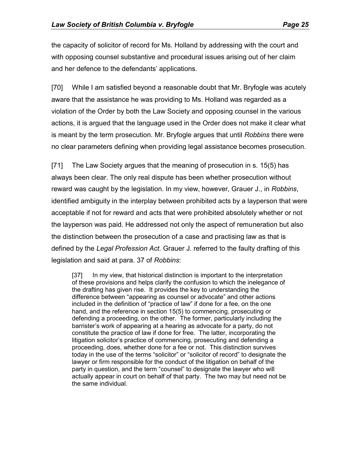the capacity of solicitor of record for Ms. Holland by addressing with the court and with opposing counsel substantive and procedural issues arising out of her claim and her defence to the defendants' applications.

[70] While I am satisfied beyond a reasonable doubt that Mr. Bryfogle was acutely aware that the assistance he was providing to Ms. Holland was regarded as a violation of the Order by both the Law Society and opposing counsel in the various actions, it is argued that the language used in the Order does not make it clear what is meant by the term prosecution. Mr. Bryfogle argues that until *Robbins* there were no clear parameters defining when providing legal assistance becomes prosecution.

[71] The Law Society argues that the meaning of prosecution in s. 15(5) has always been clear. The only real dispute has been whether prosecution without reward was caught by the legislation. In my view, however, Grauer J., in *Robbins*, identified ambiguity in the interplay between prohibited acts by a layperson that were acceptable if not for reward and acts that were prohibited absolutely whether or not the layperson was paid. He addressed not only the aspect of remuneration but also the distinction between the prosecution of a case and practising law as that is defined by the *Legal Profession Act.* Grauer J. referred to the faulty drafting of this legislation and said at para. 37 of *Robbins*:

[37] In my view, that historical distinction is important to the interpretation of these provisions and helps clarify the confusion to which the inelegance of the drafting has given rise. It provides the key to understanding the difference between "appearing as counsel or advocate" and other actions included in the definition of "practice of law" if done for a fee, on the one hand, and the reference in section 15(5) to commencing, prosecuting or defending a proceeding, on the other. The former, particularly including the barrister's work of appearing at a hearing as advocate for a party, do not constitute the practice of law if done for free. The latter, incorporating the litigation solicitor's practice of commencing, prosecuting and defending a proceeding, does, whether done for a fee or not. This distinction survives today in the use of the terms "solicitor" or "solicitor of record" to designate the lawyer or firm responsible for the conduct of the litigation on behalf of the party in question, and the term "counsel" to designate the lawyer who will actually appear in court on behalf of that party. The two may but need not be the same individual.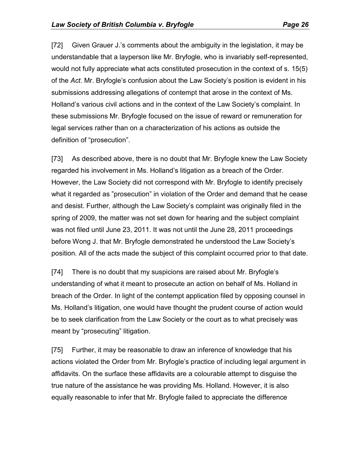[72] Given Grauer J.'s comments about the ambiguity in the legislation, it may be understandable that a layperson like Mr. Bryfogle, who is invariably self-represented, would not fully appreciate what acts constituted prosecution in the context of s. 15(5) of the *Act*. Mr. Bryfogle's confusion about the Law Society's position is evident in his submissions addressing allegations of contempt that arose in the context of Ms. Holland's various civil actions and in the context of the Law Society's complaint. In these submissions Mr. Bryfogle focused on the issue of reward or remuneration for legal services rather than on a characterization of his actions as outside the definition of "prosecution".

[73] As described above, there is no doubt that Mr. Bryfogle knew the Law Society regarded his involvement in Ms. Holland's litigation as a breach of the Order. However, the Law Society did not correspond with Mr. Bryfogle to identify precisely what it regarded as "prosecution" in violation of the Order and demand that he cease and desist. Further, although the Law Society's complaint was originally filed in the spring of 2009, the matter was not set down for hearing and the subject complaint was not filed until June 23, 2011. It was not until the June 28, 2011 proceedings before Wong J. that Mr. Bryfogle demonstrated he understood the Law Society's position. All of the acts made the subject of this complaint occurred prior to that date.

[74] There is no doubt that my suspicions are raised about Mr. Bryfogle's understanding of what it meant to prosecute an action on behalf of Ms. Holland in breach of the Order. In light of the contempt application filed by opposing counsel in Ms. Holland's litigation, one would have thought the prudent course of action would be to seek clarification from the Law Society or the court as to what precisely was meant by "prosecuting" litigation.

[75] Further, it may be reasonable to draw an inference of knowledge that his actions violated the Order from Mr. Bryfogle's practice of including legal argument in affidavits. On the surface these affidavits are a colourable attempt to disguise the true nature of the assistance he was providing Ms. Holland. However, it is also equally reasonable to infer that Mr. Bryfogle failed to appreciate the difference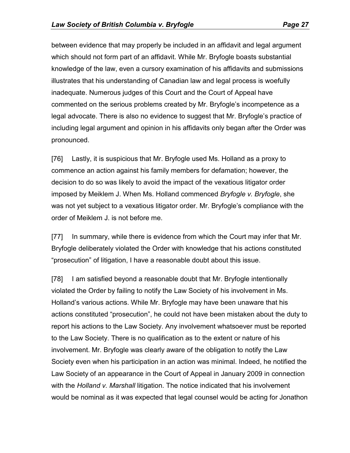between evidence that may properly be included in an affidavit and legal argument which should not form part of an affidavit. While Mr. Bryfogle boasts substantial knowledge of the law, even a cursory examination of his affidavits and submissions illustrates that his understanding of Canadian law and legal process is woefully inadequate. Numerous judges of this Court and the Court of Appeal have commented on the serious problems created by Mr. Bryfogle's incompetence as a

legal advocate. There is also no evidence to suggest that Mr. Bryfogle's practice of including legal argument and opinion in his affidavits only began after the Order was pronounced.

[76] Lastly, it is suspicious that Mr. Bryfogle used Ms. Holland as a proxy to commence an action against his family members for defamation; however, the decision to do so was likely to avoid the impact of the vexatious litigator order imposed by Meiklem J. When Ms. Holland commenced *Bryfogle v. Bryfogle*, she was not yet subject to a vexatious litigator order. Mr. Bryfogle's compliance with the order of Meiklem J. is not before me.

[77] In summary, while there is evidence from which the Court may infer that Mr. Bryfogle deliberately violated the Order with knowledge that his actions constituted "prosecution" of litigation, I have a reasonable doubt about this issue.

[78] I am satisfied beyond a reasonable doubt that Mr. Bryfogle intentionally violated the Order by failing to notify the Law Society of his involvement in Ms. Holland's various actions. While Mr. Bryfogle may have been unaware that his actions constituted "prosecution", he could not have been mistaken about the duty to report his actions to the Law Society. Any involvement whatsoever must be reported to the Law Society. There is no qualification as to the extent or nature of his involvement. Mr. Bryfogle was clearly aware of the obligation to notify the Law Society even when his participation in an action was minimal. Indeed, he notified the Law Society of an appearance in the Court of Appeal in January 2009 in connection with the *Holland v. Marshall* litigation. The notice indicated that his involvement would be nominal as it was expected that legal counsel would be acting for Jonathon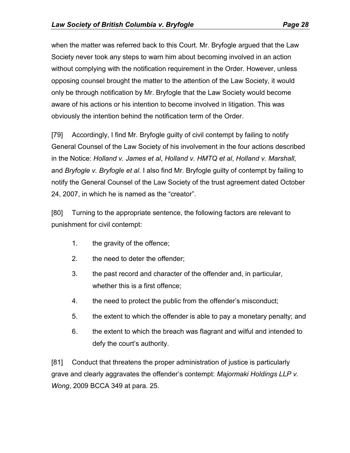when the matter was referred back to this Court. Mr. Bryfogle argued that the Law Society never took any steps to warn him about becoming involved in an action without complying with the notification requirement in the Order. However, unless opposing counsel brought the matter to the attention of the Law Society, it would only be through notification by Mr. Bryfogle that the Law Society would become aware of his actions or his intention to become involved in litigation. This was obviously the intention behind the notification term of the Order.

[79] Accordingly, I find Mr. Bryfogle guilty of civil contempt by failing to notify General Counsel of the Law Society of his involvement in the four actions described in the Notice: *Holland v. James et al*, *Holland v. HMTQ et al*, *Holland v. Marshall*, and *Bryfogle v. Bryfogle et al*. I also find Mr. Bryfogle guilty of contempt by failing to notify the General Counsel of the Law Society of the trust agreement dated October 24, 2007, in which he is named as the "creator".

[80] Turning to the appropriate sentence, the following factors are relevant to punishment for civil contempt:

- 1. the gravity of the offence;
- 2. the need to deter the offender;
- 3. the past record and character of the offender and, in particular, whether this is a first offence;
- 4. the need to protect the public from the offender's misconduct;
- 5. the extent to which the offender is able to pay a monetary penalty; and
- 6. the extent to which the breach was flagrant and wilful and intended to defy the court's authority.

[81] Conduct that threatens the proper administration of justice is particularly grave and clearly aggravates the offender's contempt: *Majormaki Holdings LLP v. Wong*, 2009 BCCA 349 at para. 25.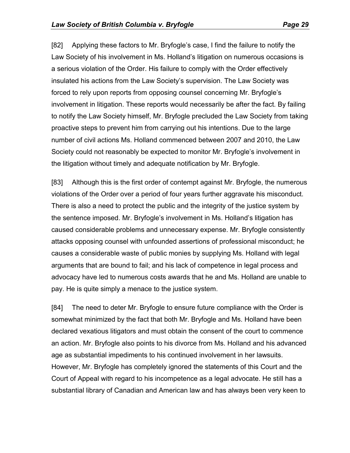[82] Applying these factors to Mr. Bryfogle's case, I find the failure to notify the Law Society of his involvement in Ms. Holland's litigation on numerous occasions is a serious violation of the Order. His failure to comply with the Order effectively insulated his actions from the Law Society's supervision. The Law Society was forced to rely upon reports from opposing counsel concerning Mr. Bryfogle's involvement in litigation. These reports would necessarily be after the fact. By failing to notify the Law Society himself, Mr. Bryfogle precluded the Law Society from taking proactive steps to prevent him from carrying out his intentions. Due to the large number of civil actions Ms. Holland commenced between 2007 and 2010, the Law Society could not reasonably be expected to monitor Mr. Bryfogle's involvement in the litigation without timely and adequate notification by Mr. Bryfogle.

[83] Although this is the first order of contempt against Mr. Bryfogle, the numerous violations of the Order over a period of four years further aggravate his misconduct. There is also a need to protect the public and the integrity of the justice system by the sentence imposed. Mr. Bryfogle's involvement in Ms. Holland's litigation has caused considerable problems and unnecessary expense. Mr. Bryfogle consistently attacks opposing counsel with unfounded assertions of professional misconduct; he causes a considerable waste of public monies by supplying Ms. Holland with legal arguments that are bound to fail; and his lack of competence in legal process and advocacy have led to numerous costs awards that he and Ms. Holland are unable to pay. He is quite simply a menace to the justice system.

[84] The need to deter Mr. Bryfogle to ensure future compliance with the Order is somewhat minimized by the fact that both Mr. Bryfogle and Ms. Holland have been declared vexatious litigators and must obtain the consent of the court to commence an action. Mr. Bryfogle also points to his divorce from Ms. Holland and his advanced age as substantial impediments to his continued involvement in her lawsuits. However, Mr. Bryfogle has completely ignored the statements of this Court and the Court of Appeal with regard to his incompetence as a legal advocate. He still has a substantial library of Canadian and American law and has always been very keen to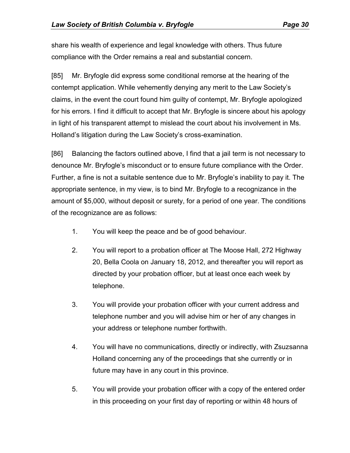share his wealth of experience and legal knowledge with others. Thus future compliance with the Order remains a real and substantial concern.

[85] Mr. Bryfogle did express some conditional remorse at the hearing of the contempt application. While vehemently denying any merit to the Law Society's claims, in the event the court found him guilty of contempt, Mr. Bryfogle apologized for his errors. I find it difficult to accept that Mr. Bryfogle is sincere about his apology in light of his transparent attempt to mislead the court about his involvement in Ms. Holland's litigation during the Law Society's cross-examination.

[86] Balancing the factors outlined above, I find that a jail term is not necessary to denounce Mr. Bryfogle's misconduct or to ensure future compliance with the Order. Further, a fine is not a suitable sentence due to Mr. Bryfogle's inability to pay it. The appropriate sentence, in my view, is to bind Mr. Bryfogle to a recognizance in the amount of \$5,000, without deposit or surety, for a period of one year. The conditions of the recognizance are as follows:

- 1. You will keep the peace and be of good behaviour.
- 2. You will report to a probation officer at The Moose Hall, 272 Highway 20, Bella Coola on January 18, 2012, and thereafter you will report as directed by your probation officer, but at least once each week by telephone.
- 3. You will provide your probation officer with your current address and telephone number and you will advise him or her of any changes in your address or telephone number forthwith.
- 4. You will have no communications, directly or indirectly, with Zsuzsanna Holland concerning any of the proceedings that she currently or in future may have in any court in this province.
- 5. You will provide your probation officer with a copy of the entered order in this proceeding on your first day of reporting or within 48 hours of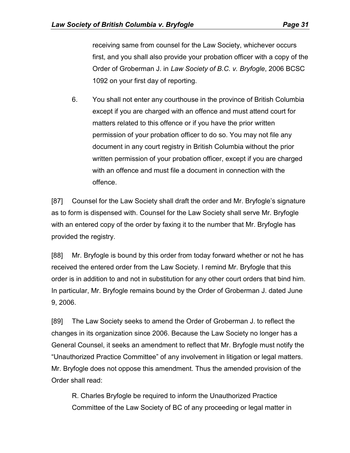receiving same from counsel for the Law Society, whichever occurs first, and you shall also provide your probation officer with a copy of the Order of Groberman J. in *Law Society of B.C. v. Bryfogle*, 2006 BCSC 1092 on your first day of reporting.

6. You shall not enter any courthouse in the province of British Columbia except if you are charged with an offence and must attend court for matters related to this offence or if you have the prior written permission of your probation officer to do so. You may not file any document in any court registry in British Columbia without the prior written permission of your probation officer, except if you are charged with an offence and must file a document in connection with the offence.

[87] Counsel for the Law Society shall draft the order and Mr. Bryfogle's signature as to form is dispensed with. Counsel for the Law Society shall serve Mr. Bryfogle with an entered copy of the order by faxing it to the number that Mr. Bryfogle has provided the registry.

[88] Mr. Bryfogle is bound by this order from today forward whether or not he has received the entered order from the Law Society. I remind Mr. Bryfogle that this order is in addition to and not in substitution for any other court orders that bind him. In particular, Mr. Bryfogle remains bound by the Order of Groberman J. dated June 9, 2006.

[89] The Law Society seeks to amend the Order of Groberman J. to reflect the changes in its organization since 2006. Because the Law Society no longer has a General Counsel, it seeks an amendment to reflect that Mr. Bryfogle must notify the "Unauthorized Practice Committee" of any involvement in litigation or legal matters. Mr. Bryfogle does not oppose this amendment. Thus the amended provision of the Order shall read:

R. Charles Bryfogle be required to inform the Unauthorized Practice Committee of the Law Society of BC of any proceeding or legal matter in